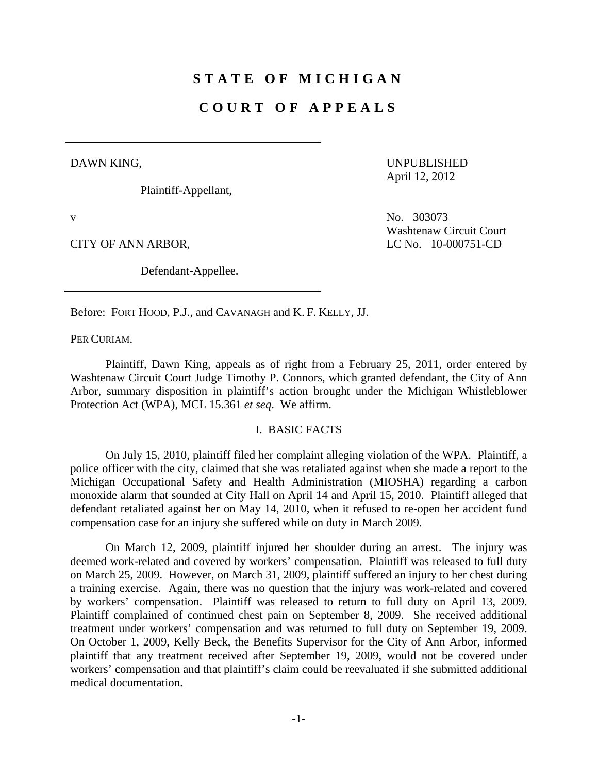## **STATE OF MICHIGAN**

## **COURT OF APPEALS**

DAWN KING,

Plaintiff-Appellant,

UNPUBLISHED April 12, 2012

Defendant-Appellee.

v No. 303073 Washtenaw Circuit Court CITY OF ANN ARBOR, LC No. 10-000751-CD

Before: FORT HOOD, P.J., and CAVANAGH and K. F. KELLY, JJ.

PER CURIAM.

 Plaintiff, Dawn King, appeals as of right from a February 25, 2011, order entered by Washtenaw Circuit Court Judge Timothy P. Connors, which granted defendant, the City of Ann Arbor, summary disposition in plaintiff's action brought under the Michigan Whistleblower Protection Act (WPA), MCL 15.361 *et seq*. We affirm.

## I. BASIC FACTS

 On July 15, 2010, plaintiff filed her complaint alleging violation of the WPA. Plaintiff, a police officer with the city, claimed that she was retaliated against when she made a report to the Michigan Occupational Safety and Health Administration (MIOSHA) regarding a carbon monoxide alarm that sounded at City Hall on April 14 and April 15, 2010. Plaintiff alleged that defendant retaliated against her on May 14, 2010, when it refused to re-open her accident fund compensation case for an injury she suffered while on duty in March 2009.

 On March 12, 2009, plaintiff injured her shoulder during an arrest. The injury was deemed work-related and covered by workers' compensation. Plaintiff was released to full duty on March 25, 2009. However, on March 31, 2009, plaintiff suffered an injury to her chest during a training exercise. Again, there was no question that the injury was work-related and covered by workers' compensation. Plaintiff was released to return to full duty on April 13, 2009. Plaintiff complained of continued chest pain on September 8, 2009. She received additional treatment under workers' compensation and was returned to full duty on September 19, 2009. On October 1, 2009, Kelly Beck, the Benefits Supervisor for the City of Ann Arbor, informed plaintiff that any treatment received after September 19, 2009, would not be covered under workers' compensation and that plaintiff's claim could be reevaluated if she submitted additional medical documentation.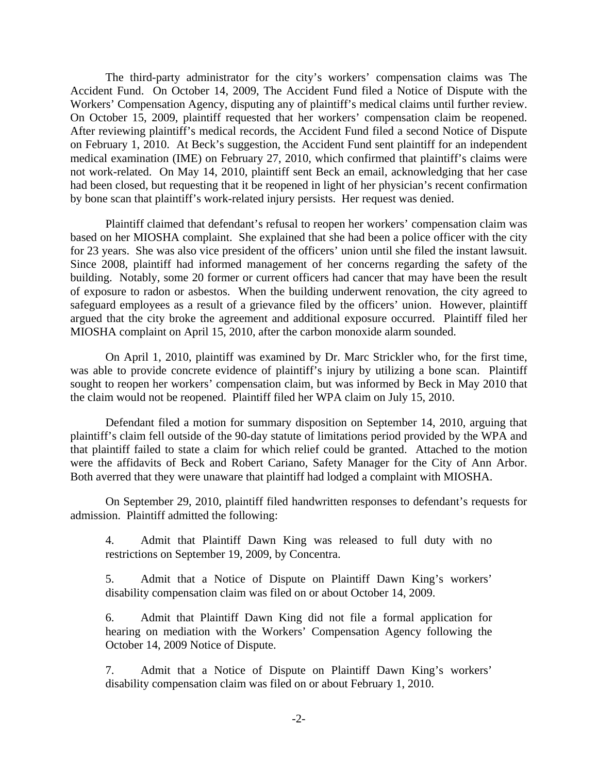The third-party administrator for the city's workers' compensation claims was The Accident Fund. On October 14, 2009, The Accident Fund filed a Notice of Dispute with the Workers' Compensation Agency, disputing any of plaintiff's medical claims until further review. On October 15, 2009, plaintiff requested that her workers' compensation claim be reopened. After reviewing plaintiff's medical records, the Accident Fund filed a second Notice of Dispute on February 1, 2010. At Beck's suggestion, the Accident Fund sent plaintiff for an independent medical examination (IME) on February 27, 2010, which confirmed that plaintiff's claims were not work-related. On May 14, 2010, plaintiff sent Beck an email, acknowledging that her case had been closed, but requesting that it be reopened in light of her physician's recent confirmation by bone scan that plaintiff's work-related injury persists. Her request was denied.

 Plaintiff claimed that defendant's refusal to reopen her workers' compensation claim was based on her MIOSHA complaint. She explained that she had been a police officer with the city for 23 years. She was also vice president of the officers' union until she filed the instant lawsuit. Since 2008, plaintiff had informed management of her concerns regarding the safety of the building. Notably, some 20 former or current officers had cancer that may have been the result of exposure to radon or asbestos. When the building underwent renovation, the city agreed to safeguard employees as a result of a grievance filed by the officers' union. However, plaintiff argued that the city broke the agreement and additional exposure occurred. Plaintiff filed her MIOSHA complaint on April 15, 2010, after the carbon monoxide alarm sounded.

 On April 1, 2010, plaintiff was examined by Dr. Marc Strickler who, for the first time, was able to provide concrete evidence of plaintiff's injury by utilizing a bone scan. Plaintiff sought to reopen her workers' compensation claim, but was informed by Beck in May 2010 that the claim would not be reopened. Plaintiff filed her WPA claim on July 15, 2010.

 Defendant filed a motion for summary disposition on September 14, 2010, arguing that plaintiff's claim fell outside of the 90-day statute of limitations period provided by the WPA and that plaintiff failed to state a claim for which relief could be granted. Attached to the motion were the affidavits of Beck and Robert Cariano, Safety Manager for the City of Ann Arbor. Both averred that they were unaware that plaintiff had lodged a complaint with MIOSHA.

 On September 29, 2010, plaintiff filed handwritten responses to defendant's requests for admission. Plaintiff admitted the following:

4. Admit that Plaintiff Dawn King was released to full duty with no restrictions on September 19, 2009, by Concentra.

5. Admit that a Notice of Dispute on Plaintiff Dawn King's workers' disability compensation claim was filed on or about October 14, 2009.

6. Admit that Plaintiff Dawn King did not file a formal application for hearing on mediation with the Workers' Compensation Agency following the October 14, 2009 Notice of Dispute.

7. Admit that a Notice of Dispute on Plaintiff Dawn King's workers' disability compensation claim was filed on or about February 1, 2010.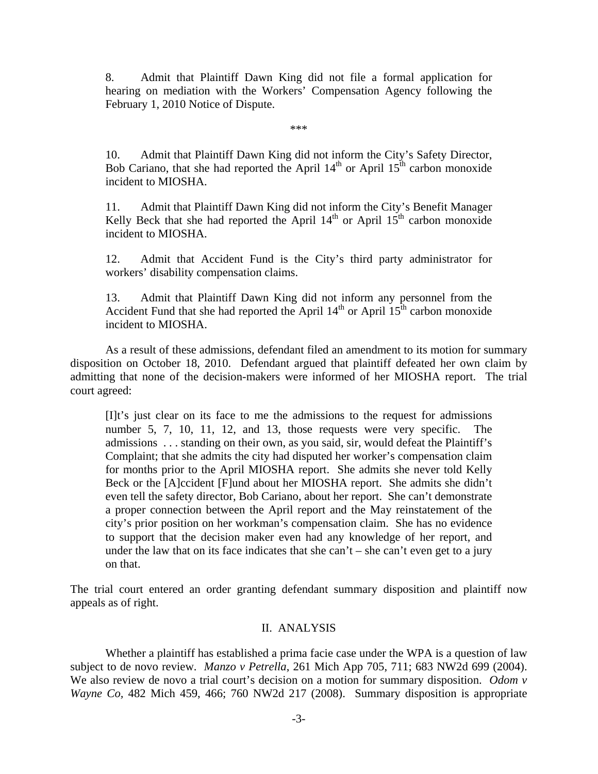8. Admit that Plaintiff Dawn King did not file a formal application for hearing on mediation with the Workers' Compensation Agency following the February 1, 2010 Notice of Dispute.

\*\*\*

10. Admit that Plaintiff Dawn King did not inform the City's Safety Director, Bob Cariano, that she had reported the April  $14<sup>th</sup>$  or April  $15<sup>th</sup>$  carbon monoxide incident to MIOSHA.

11. Admit that Plaintiff Dawn King did not inform the City's Benefit Manager Kelly Beck that she had reported the April  $14<sup>th</sup>$  or April  $15<sup>th</sup>$  carbon monoxide incident to MIOSHA.

12. Admit that Accident Fund is the City's third party administrator for workers' disability compensation claims.

13. Admit that Plaintiff Dawn King did not inform any personnel from the Accident Fund that she had reported the April  $14<sup>th</sup>$  or April  $15<sup>th</sup>$  carbon monoxide incident to MIOSHA.

 As a result of these admissions, defendant filed an amendment to its motion for summary disposition on October 18, 2010. Defendant argued that plaintiff defeated her own claim by admitting that none of the decision-makers were informed of her MIOSHA report. The trial court agreed:

[I]t's just clear on its face to me the admissions to the request for admissions number 5, 7, 10, 11, 12, and 13, those requests were very specific. The admissions . . . standing on their own, as you said, sir, would defeat the Plaintiff's Complaint; that she admits the city had disputed her worker's compensation claim for months prior to the April MIOSHA report. She admits she never told Kelly Beck or the [A]ccident [F]und about her MIOSHA report. She admits she didn't even tell the safety director, Bob Cariano, about her report. She can't demonstrate a proper connection between the April report and the May reinstatement of the city's prior position on her workman's compensation claim. She has no evidence to support that the decision maker even had any knowledge of her report, and under the law that on its face indicates that she can't – she can't even get to a jury on that.

The trial court entered an order granting defendant summary disposition and plaintiff now appeals as of right.

## II. ANALYSIS

 Whether a plaintiff has established a prima facie case under the WPA is a question of law subject to de novo review. *Manzo v Petrella*, 261 Mich App 705, 711; 683 NW2d 699 (2004). We also review de novo a trial court's decision on a motion for summary disposition. *Odom v Wayne Co,* 482 Mich 459, 466; 760 NW2d 217 (2008). Summary disposition is appropriate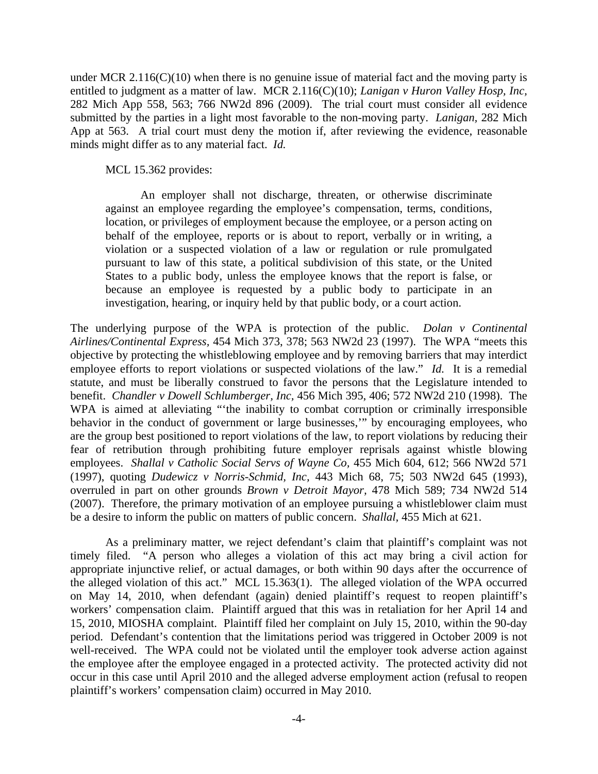under MCR 2.116(C)(10) when there is no genuine issue of material fact and the moving party is entitled to judgment as a matter of law. MCR 2.116(C)(10); *Lanigan v Huron Valley Hosp, Inc,*  282 Mich App 558, 563; 766 NW2d 896 (2009). The trial court must consider all evidence submitted by the parties in a light most favorable to the non-moving party. *Lanigan,* 282 Mich App at 563. A trial court must deny the motion if, after reviewing the evidence, reasonable minds might differ as to any material fact. *Id.* 

MCL 15.362 provides:

 An employer shall not discharge, threaten, or otherwise discriminate against an employee regarding the employee's compensation, terms, conditions, location, or privileges of employment because the employee, or a person acting on behalf of the employee, reports or is about to report, verbally or in writing, a violation or a suspected violation of a law or regulation or rule promulgated pursuant to law of this state, a political subdivision of this state, or the United States to a public body, unless the employee knows that the report is false, or because an employee is requested by a public body to participate in an investigation, hearing, or inquiry held by that public body, or a court action.

The underlying purpose of the WPA is protection of the public. *Dolan v Continental Airlines/Continental Express,* 454 Mich 373, 378; 563 NW2d 23 (1997). The WPA "meets this objective by protecting the whistleblowing employee and by removing barriers that may interdict employee efforts to report violations or suspected violations of the law." *Id.* It is a remedial statute, and must be liberally construed to favor the persons that the Legislature intended to benefit. *Chandler v Dowell Schlumberger, Inc,* 456 Mich 395, 406; 572 NW2d 210 (1998). The WPA is aimed at alleviating "the inability to combat corruption or criminally irresponsible behavior in the conduct of government or large businesses,'" by encouraging employees, who are the group best positioned to report violations of the law, to report violations by reducing their fear of retribution through prohibiting future employer reprisals against whistle blowing employees. *Shallal v Catholic Social Servs of Wayne Co,* 455 Mich 604, 612; 566 NW2d 571 (1997), quoting *Dudewicz v Norris-Schmid, Inc,* 443 Mich 68, 75; 503 NW2d 645 (1993), overruled in part on other grounds *Brown v Detroit Mayor,* 478 Mich 589; 734 NW2d 514 (2007). Therefore, the primary motivation of an employee pursuing a whistleblower claim must be a desire to inform the public on matters of public concern. *Shallal,* 455 Mich at 621.

 As a preliminary matter, we reject defendant's claim that plaintiff's complaint was not timely filed. "A person who alleges a violation of this act may bring a civil action for appropriate injunctive relief, or actual damages, or both within 90 days after the occurrence of the alleged violation of this act." MCL 15.363(1). The alleged violation of the WPA occurred on May 14, 2010, when defendant (again) denied plaintiff's request to reopen plaintiff's workers' compensation claim. Plaintiff argued that this was in retaliation for her April 14 and 15, 2010, MIOSHA complaint. Plaintiff filed her complaint on July 15, 2010, within the 90-day period. Defendant's contention that the limitations period was triggered in October 2009 is not well-received. The WPA could not be violated until the employer took adverse action against the employee after the employee engaged in a protected activity. The protected activity did not occur in this case until April 2010 and the alleged adverse employment action (refusal to reopen plaintiff's workers' compensation claim) occurred in May 2010.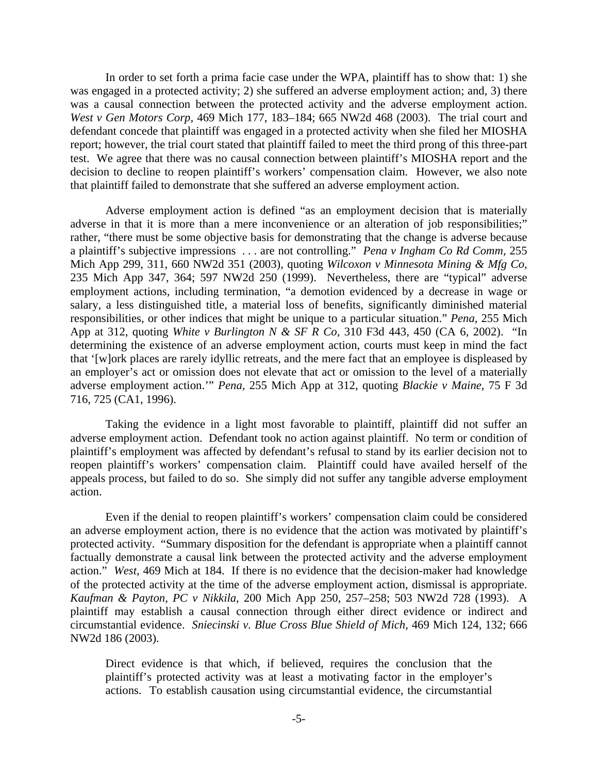In order to set forth a prima facie case under the WPA, plaintiff has to show that: 1) she was engaged in a protected activity; 2) she suffered an adverse employment action; and, 3) there was a causal connection between the protected activity and the adverse employment action. *West v Gen Motors Corp,* 469 Mich 177, 183–184; 665 NW2d 468 (2003). The trial court and defendant concede that plaintiff was engaged in a protected activity when she filed her MIOSHA report; however, the trial court stated that plaintiff failed to meet the third prong of this three-part test. We agree that there was no causal connection between plaintiff's MIOSHA report and the decision to decline to reopen plaintiff's workers' compensation claim. However, we also note that plaintiff failed to demonstrate that she suffered an adverse employment action.

 Adverse employment action is defined "as an employment decision that is materially adverse in that it is more than a mere inconvenience or an alteration of job responsibilities;" rather, "there must be some objective basis for demonstrating that the change is adverse because a plaintiff's subjective impressions . . . are not controlling." *Pena v Ingham Co Rd Comm,* 255 Mich App 299, 311, 660 NW2d 351 (2003), quoting *Wilcoxon v Minnesota Mining & Mfg Co,*  235 Mich App 347, 364; 597 NW2d 250 (1999). Nevertheless, there are "typical" adverse employment actions, including termination, "a demotion evidenced by a decrease in wage or salary, a less distinguished title, a material loss of benefits, significantly diminished material responsibilities, or other indices that might be unique to a particular situation." *Pena,* 255 Mich App at 312, quoting *White v Burlington N & SF R Co,* 310 F3d 443, 450 (CA 6, 2002). "In determining the existence of an adverse employment action, courts must keep in mind the fact that '[w]ork places are rarely idyllic retreats, and the mere fact that an employee is displeased by an employer's act or omission does not elevate that act or omission to the level of a materially adverse employment action.'" *Pena,* 255 Mich App at 312, quoting *Blackie v Maine*, 75 F 3d 716, 725 (CA1, 1996).

 Taking the evidence in a light most favorable to plaintiff, plaintiff did not suffer an adverse employment action. Defendant took no action against plaintiff. No term or condition of plaintiff's employment was affected by defendant's refusal to stand by its earlier decision not to reopen plaintiff's workers' compensation claim. Plaintiff could have availed herself of the appeals process, but failed to do so. She simply did not suffer any tangible adverse employment action.

 Even if the denial to reopen plaintiff's workers' compensation claim could be considered an adverse employment action, there is no evidence that the action was motivated by plaintiff's protected activity. "Summary disposition for the defendant is appropriate when a plaintiff cannot factually demonstrate a causal link between the protected activity and the adverse employment action." *West,* 469 Mich at 184. If there is no evidence that the decision-maker had knowledge of the protected activity at the time of the adverse employment action, dismissal is appropriate. *Kaufman & Payton, PC v Nikkila*, 200 Mich App 250, 257–258; 503 NW2d 728 (1993). A plaintiff may establish a causal connection through either direct evidence or indirect and circumstantial evidence. *Sniecinski v. Blue Cross Blue Shield of Mich,* 469 Mich 124, 132; 666 NW2d 186 (2003).

Direct evidence is that which, if believed, requires the conclusion that the plaintiff's protected activity was at least a motivating factor in the employer's actions. To establish causation using circumstantial evidence, the circumstantial